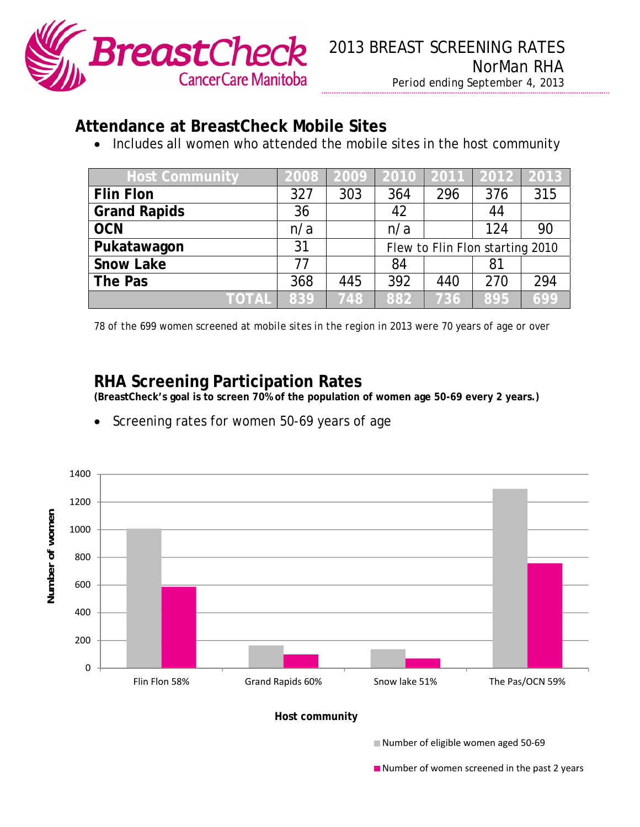

## **Attendance at BreastCheck Mobile Sites**

• Includes all women who attended the mobile sites in the host community

| <b>Host Community</b> | 2008 |     |                                 |     | 2009 2010 2011 2012 2013 |     |
|-----------------------|------|-----|---------------------------------|-----|--------------------------|-----|
| <b>Flin Flon</b>      | 327  | 303 | 364                             | 296 | 376                      | 315 |
| <b>Grand Rapids</b>   | 36   |     | 42                              |     | 44                       |     |
| <b>OCN</b>            | n/a  |     | n/a                             |     | 124                      | 90  |
| Pukatawagon           | 31   |     | Flew to Flin Flon starting 2010 |     |                          |     |
| <b>Snow Lake</b>      | 77   |     | 84                              |     | 81                       |     |
| The Pas               | 368  | 445 | 392                             | 440 | 270                      | 294 |
| <b>TOTAL</b>          | 839  | 748 | 882                             | 736 | 895                      | 699 |

*78 of the 699 women screened at mobile sites in the region in 2013 were 70 years of age or over* 

## **RHA Screening Participation Rates**

**(BreastCheck's goal is to screen 70% of the population of women age 50-69 every 2 years.)** 

Screening rates for women 50-69 years of age



**Example 2** Number of women screened in the past 2 years